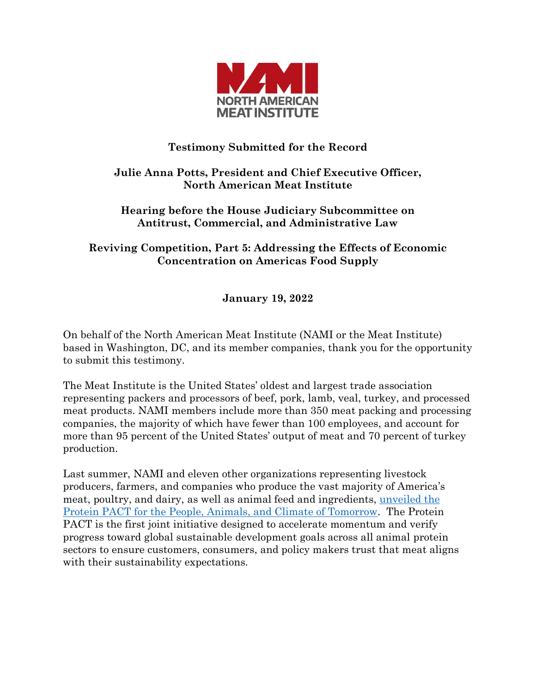

## **Testimony Submitted for the Record**

## **Julie Anna Potts, President and Chief Executive Officer, North American Meat Institute**

## **Hearing before the House Judiciary Subcommittee on Antitrust, Commercial, and Administrative Law**

**Reviving Competition, Part 5: Addressing the Effects of Economic Concentration on Americas Food Supply**

**January 19, 2022**

On behalf of the North American Meat Institute (NAMI or the Meat Institute) based in Washington, DC, and its member companies, thank you for the opportunity to submit this testimony.

The Meat Institute is the United States' oldest and largest trade association representing packers and processors of beef, pork, lamb, veal, turkey, and processed meat products. NAMI members include more than 350 meat packing and processing companies, the majority of which have fewer than 100 employees, and account for more than 95 percent of the United States' output of meat and 70 percent of turkey production.

Last summer, NAMI and eleven other organizations representing livestock producers, farmers, and companies who produce the vast majority of America's meat, poultry, and dairy, as well as animal feed and ingredients, [unveiled the](https://www.meatinstitute.org/ht/display/ReleaseDetails/i/192863/pid/287)  [Protein PACT for the People, Animals, and Climate of Tomorrow.](https://www.meatinstitute.org/ht/display/ReleaseDetails/i/192863/pid/287) The Protein PACT is the first joint initiative designed to accelerate momentum and verify progress toward global sustainable development goals across all animal protein sectors to ensure customers, consumers, and policy makers trust that meat aligns with their sustainability expectations.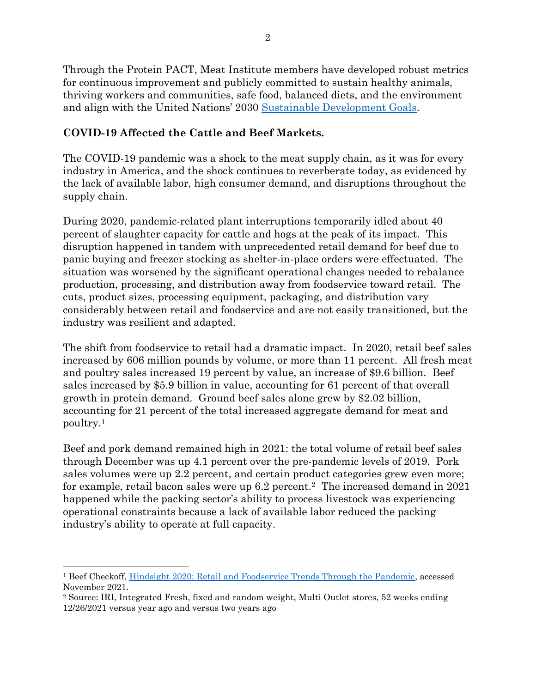Through the Protein PACT, Meat Institute members have developed robust metrics for continuous improvement and publicly committed to sustain healthy animals, thriving workers and communities, safe food, balanced diets, and the environment and align with the United Nations' 2030 [Sustainable Development Goals.](https://sdgs.un.org/goals)

#### **COVID-19 Affected the Cattle and Beef Markets.**

The COVID-19 pandemic was a shock to the meat supply chain, as it was for every industry in America, and the shock continues to reverberate today, as evidenced by the lack of available labor, high consumer demand, and disruptions throughout the supply chain.

During 2020, pandemic-related plant interruptions temporarily idled about 40 percent of slaughter capacity for cattle and hogs at the peak of its impact. This disruption happened in tandem with unprecedented retail demand for beef due to panic buying and freezer stocking as shelter-in-place orders were effectuated. The situation was worsened by the significant operational changes needed to rebalance production, processing, and distribution away from foodservice toward retail. The cuts, product sizes, processing equipment, packaging, and distribution vary considerably between retail and foodservice and are not easily transitioned, but the industry was resilient and adapted.

The shift from foodservice to retail had a dramatic impact. In 2020, retail beef sales increased by 606 million pounds by volume, or more than 11 percent. All fresh meat and poultry sales increased 19 percent by value, an increase of \$9.6 billion. Beef sales increased by \$5.9 billion in value, accounting for 61 percent of that overall growth in protein demand. Ground beef sales alone grew by \$2.02 billion, accounting for 21 percent of the total increased aggregate demand for meat and poultry.<sup>1</sup>

Beef and pork demand remained high in 2021: the total volume of retail beef sales through December was up 4.1 percent over the pre-pandemic levels of 2019. Pork sales volumes were up 2.2 percent, and certain product categories grew even more; for example, retail bacon sales were up 6.2 percent.2 The increased demand in 2021 happened while the packing sector's ability to process livestock was experiencing operational constraints because a lack of available labor reduced the packing industry's ability to operate at full capacity.

 $\overline{\phantom{a}}$ 

<sup>1</sup> Beef Checkoff, [Hindsight 2020: Retail and Foodservice Trends Through the Pandemic,](https://www.beefitswhatsfordinner.com/retail/sales-data-shopper-insights/pandemic-market-trends) accessed November 2021.

<sup>2</sup> Source: IRI, Integrated Fresh, fixed and random weight, Multi Outlet stores, 52 weeks ending 12/26/2021 versus year ago and versus two years ago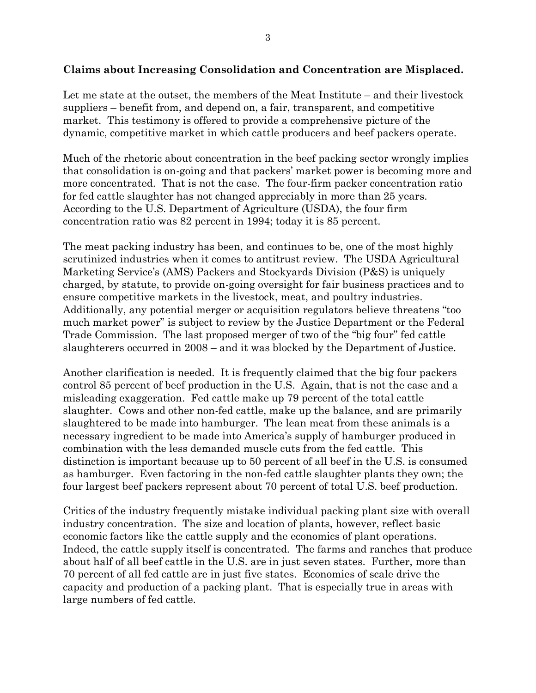#### **Claims about Increasing Consolidation and Concentration are Misplaced.**

Let me state at the outset, the members of the Meat Institute – and their livestock suppliers – benefit from, and depend on, a fair, transparent, and competitive market. This testimony is offered to provide a comprehensive picture of the dynamic, competitive market in which cattle producers and beef packers operate.

Much of the rhetoric about concentration in the beef packing sector wrongly implies that consolidation is on-going and that packers' market power is becoming more and more concentrated. That is not the case. The four-firm packer concentration ratio for fed cattle slaughter has not changed appreciably in more than 25 years. According to the U.S. Department of Agriculture (USDA), the four firm concentration ratio was 82 percent in 1994; today it is 85 percent.

The meat packing industry has been, and continues to be, one of the most highly scrutinized industries when it comes to antitrust review. The USDA Agricultural Marketing Service's (AMS) Packers and Stockyards Division (P&S) is uniquely charged, by statute, to provide on-going oversight for fair business practices and to ensure competitive markets in the livestock, meat, and poultry industries. Additionally, any potential merger or acquisition regulators believe threatens "too much market power" is subject to review by the Justice Department or the Federal Trade Commission. The last proposed merger of two of the "big four" fed cattle slaughterers occurred in 2008 – and it was blocked by the Department of Justice.

Another clarification is needed. It is frequently claimed that the big four packers control 85 percent of beef production in the U.S. Again, that is not the case and a misleading exaggeration. Fed cattle make up 79 percent of the total cattle slaughter. Cows and other non-fed cattle, make up the balance, and are primarily slaughtered to be made into hamburger. The lean meat from these animals is a necessary ingredient to be made into America's supply of hamburger produced in combination with the less demanded muscle cuts from the fed cattle. This distinction is important because up to 50 percent of all beef in the U.S. is consumed as hamburger. Even factoring in the non-fed cattle slaughter plants they own; the four largest beef packers represent about 70 percent of total U.S. beef production.

Critics of the industry frequently mistake individual packing plant size with overall industry concentration. The size and location of plants, however, reflect basic economic factors like the cattle supply and the economics of plant operations. Indeed, the cattle supply itself is concentrated. The farms and ranches that produce about half of all beef cattle in the U.S. are in just seven states. Further, more than 70 percent of all fed cattle are in just five states. Economies of scale drive the capacity and production of a packing plant. That is especially true in areas with large numbers of fed cattle.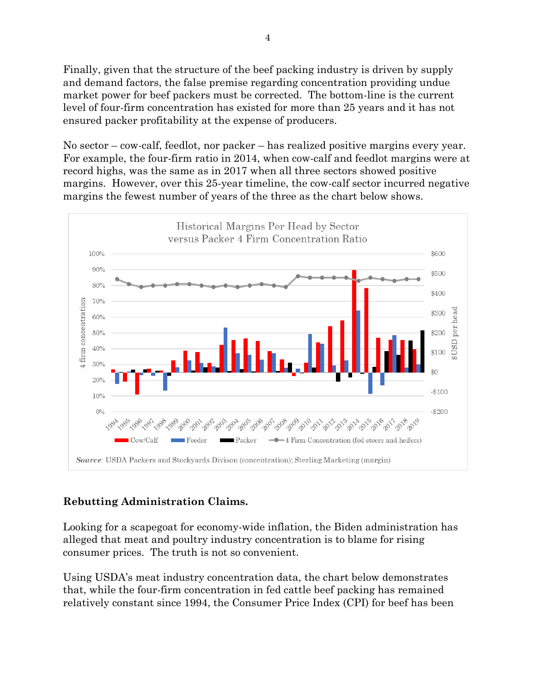Finally, given that the structure of the beef packing industry is driven by supply and demand factors, the false premise regarding concentration providing undue market power for beef packers must be corrected. The bottom-line is the current level of four-firm concentration has existed for more than 25 years and it has not ensured packer profitability at the expense of producers.

No sector – cow-calf, feedlot, nor packer – has realized positive margins every year. For example, the four-firm ratio in 2014, when cow-calf and feedlot margins were at record highs, was the same as in 2017 when all three sectors showed positive margins. However, over this 25-year timeline, the cow-calf sector incurred negative margins the fewest number of years of the three as the chart below shows.



# **Rebutting Administration Claims.**

Looking for a scapegoat for economy-wide inflation, the Biden administration has alleged that meat and poultry industry concentration is to blame for rising consumer prices. The truth is not so convenient.

Using USDA's meat industry concentration data, the chart below demonstrates that, while the four-firm concentration in fed cattle beef packing has remained relatively constant since 1994, the Consumer Price Index (CPI) for beef has been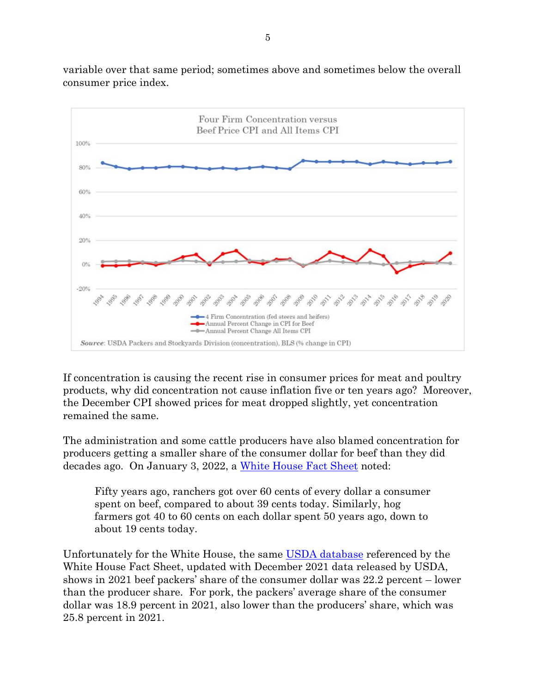variable over that same period; sometimes above and sometimes below the overall consumer price index.



If concentration is causing the recent rise in consumer prices for meat and poultry products, why did concentration not cause inflation five or ten years ago? Moreover, the December CPI showed prices for meat dropped slightly, yet concentration remained the same.

The administration and some cattle producers have also blamed concentration for producers getting a smaller share of the consumer dollar for beef than they did decades ago. On January 3, 2022, a [White House Fact Sheet](https://netorg1992269-my.sharepoint.com/personal/dave_thejudaygroup_com/Documents/Documents/Documents/NAMI/FACT%20SHEET:%20The%20Biden-Harris%20Action%20Plan%20for%20a%20Fairer,%20More%20Competitive,%20and%20More%20Resilient%20Meat%20and%20Poultry%20Supply%20Chain%20|%20The%20White%20House) noted:

Fifty years ago, ranchers got over 60 cents of every dollar a consumer spent on beef, compared to about 39 cents today. Similarly, hog farmers got 40 to 60 cents on each dollar spent 50 years ago, down to about 19 cents today.

Unfortunately for the White House, the same [USDA database](https://netorg1992269-my.sharepoint.com/personal/dave_thejudaygroup_com/Documents/Documents/Documents/NAMI/USDA%20ERS%20-%20Meat%20Price%20Spreads) referenced by the White House Fact Sheet, updated with December 2021 data released by USDA, shows in 2021 beef packers' share of the consumer dollar was 22.2 percent – lower than the producer share. For pork, the packers' average share of the consumer dollar was 18.9 percent in 2021, also lower than the producers' share, which was 25.8 percent in 2021.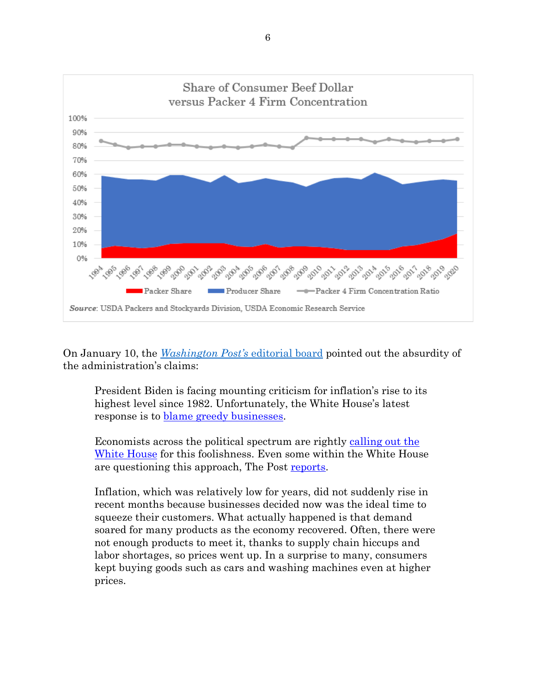

On January 10, the *[Washington Post's](https://www.washingtonpost.com/opinions/2022/01/10/white-house-again-offers-bizarre-message-inflation/)* editorial board pointed out the absurdity of the administration's claims:

President Biden is facing mounting criticism for inflation's rise to its highest level since 1982. Unfortunately, the White House's latest response is to **blame** greedy businesses.

Economists across the political spectrum are rightly [calling out the](https://twitter.com/LHSummers/status/1475230223985786889?s=20)  [White House](https://twitter.com/LHSummers/status/1475230223985786889?s=20) for this foolishness. Even some within the White House are questioning this approach, The Post [reports.](https://www.washingtonpost.com/us-policy/2022/01/10/white-house-inflation-strategy/?itid=lk_inline_manual_3)

Inflation, which was relatively low for years, did not suddenly rise in recent months because businesses decided now was the ideal time to squeeze their customers. What actually happened is that demand soared for many products as the economy recovered. Often, there were not enough products to meet it, thanks to supply chain hiccups and labor shortages, so prices went up. In a surprise to many, consumers kept buying goods such as cars and washing machines even at higher prices.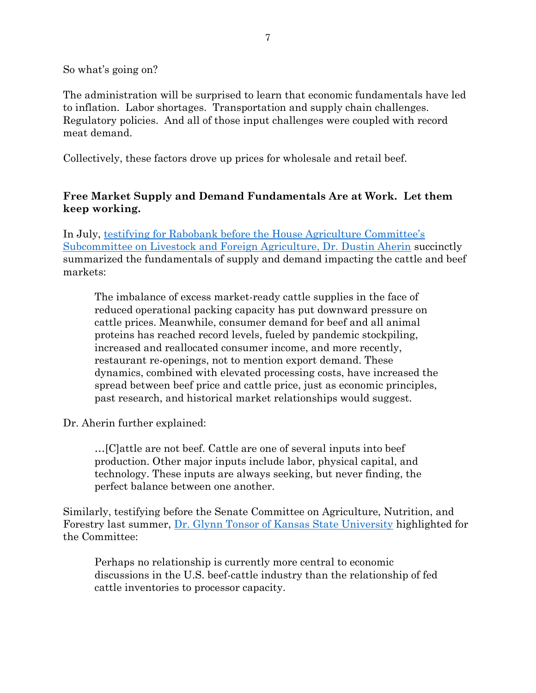So what's going on?

The administration will be surprised to learn that economic fundamentals have led to inflation. Labor shortages. Transportation and supply chain challenges. Regulatory policies. And all of those input challenges were coupled with record meat demand.

Collectively, these factors drove up prices for wholesale and retail beef.

#### **Free Market Supply and Demand Fundamentals Are at Work. Let them keep working.**

In July, [testifying for Rabobank before the House Agriculture Committee's](https://docs.house.gov/Committee/Calendar/ByEvent.aspx?EventID=113973)  [Subcommittee on Livestock and Foreign Agriculture, Dr. Dustin Aherin](https://docs.house.gov/Committee/Calendar/ByEvent.aspx?EventID=113973) succinctly summarized the fundamentals of supply and demand impacting the cattle and beef markets:

The imbalance of excess market-ready cattle supplies in the face of reduced operational packing capacity has put downward pressure on cattle prices. Meanwhile, consumer demand for beef and all animal proteins has reached record levels, fueled by pandemic stockpiling, increased and reallocated consumer income, and more recently, restaurant re-openings, not to mention export demand. These dynamics, combined with elevated processing costs, have increased the spread between beef price and cattle price, just as economic principles, past research, and historical market relationships would suggest.

Dr. Aherin further explained:

…[C]attle are not beef. Cattle are one of several inputs into beef production. Other major inputs include labor, physical capital, and technology. These inputs are always seeking, but never finding, the perfect balance between one another.

Similarly, testifying before the Senate Committee on Agriculture, Nutrition, and Forestry last summer, [Dr. Glynn Tonsor of Kansas State University](https://www.agriculture.senate.gov/hearings/examining-markets-transparency-and-prices-from-cattle-producer-to-consumer) highlighted for the Committee:

Perhaps no relationship is currently more central to economic discussions in the U.S. beef-cattle industry than the relationship of fed cattle inventories to processor capacity.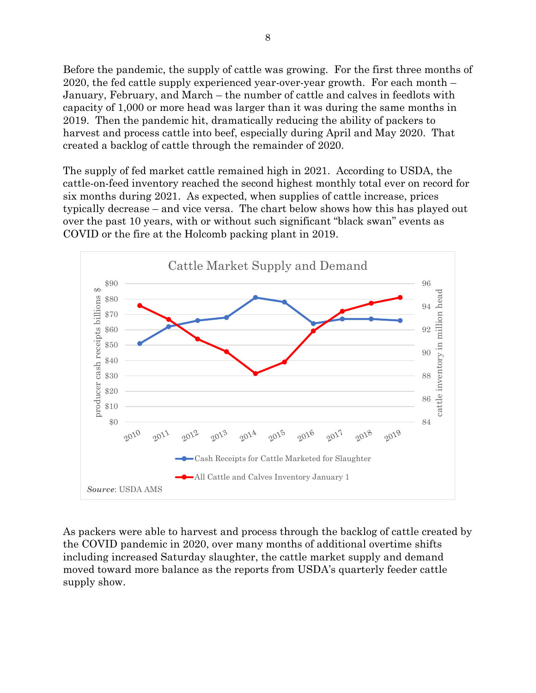Before the pandemic, the supply of cattle was growing. For the first three months of 2020, the fed cattle supply experienced year-over-year growth. For each month – January, February, and March – the number of cattle and calves in feedlots with capacity of 1,000 or more head was larger than it was during the same months in 2019. Then the pandemic hit, dramatically reducing the ability of packers to harvest and process cattle into beef, especially during April and May 2020. That created a backlog of cattle through the remainder of 2020.

The supply of fed market cattle remained high in 2021. According to USDA, the cattle-on-feed inventory reached the second highest monthly total ever on record for six months during 2021. As expected, when supplies of cattle increase, prices typically decrease – and vice versa. The chart below shows how this has played out over the past 10 years, with or without such significant "black swan" events as COVID or the fire at the Holcomb packing plant in 2019.



As packers were able to harvest and process through the backlog of cattle created by the COVID pandemic in 2020, over many months of additional overtime shifts including increased Saturday slaughter, the cattle market supply and demand moved toward more balance as the reports from USDA's quarterly feeder cattle supply show.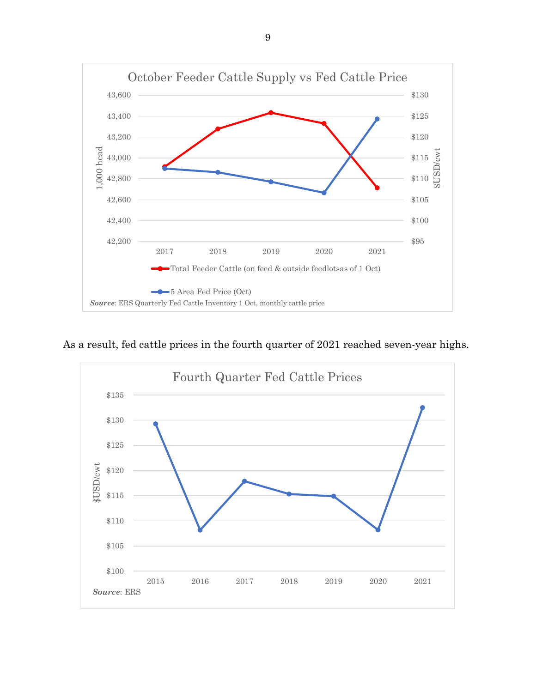

As a result, fed cattle prices in the fourth quarter of 2021 reached seven-year highs.

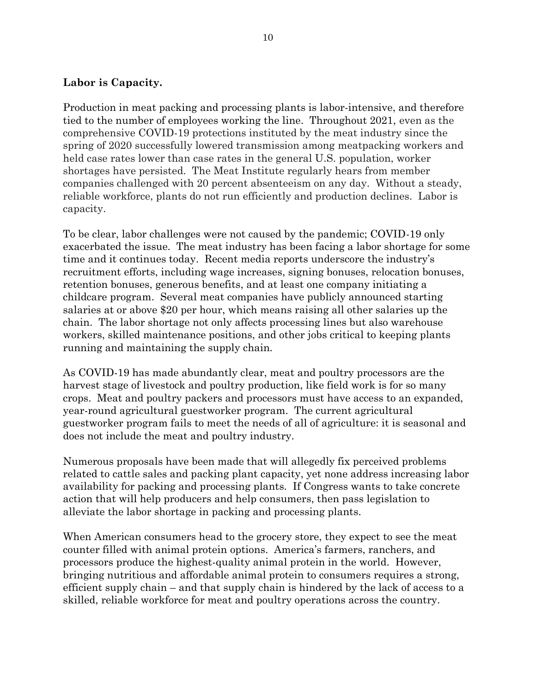#### **Labor is Capacity.**

Production in meat packing and processing plants is labor-intensive, and therefore tied to the number of employees working the line. Throughout 2021, even as the comprehensive COVID-19 protections instituted by the meat industry since the spring of 2020 successfully lowered transmission among meatpacking workers and held case rates lower than case rates in the general U.S. population, worker shortages have persisted. The Meat Institute regularly hears from member companies challenged with 20 percent absenteeism on any day. Without a steady, reliable workforce, plants do not run efficiently and production declines. Labor is capacity.

To be clear, labor challenges were not caused by the pandemic; COVID-19 only exacerbated the issue. The meat industry has been facing a labor shortage for some time and it continues today. Recent media reports underscore the industry's recruitment efforts, including wage increases, signing bonuses, relocation bonuses, retention bonuses, generous benefits, and at least one company initiating a childcare program. Several meat companies have publicly announced starting salaries at or above \$20 per hour, which means raising all other salaries up the chain. The labor shortage not only affects processing lines but also warehouse workers, skilled maintenance positions, and other jobs critical to keeping plants running and maintaining the supply chain.

As COVID-19 has made abundantly clear, meat and poultry processors are the harvest stage of livestock and poultry production, like field work is for so many crops. Meat and poultry packers and processors must have access to an expanded, year-round agricultural guestworker program. The current agricultural guestworker program fails to meet the needs of all of agriculture: it is seasonal and does not include the meat and poultry industry.

Numerous proposals have been made that will allegedly fix perceived problems related to cattle sales and packing plant capacity, yet none address increasing labor availability for packing and processing plants. If Congress wants to take concrete action that will help producers and help consumers, then pass legislation to alleviate the labor shortage in packing and processing plants.

When American consumers head to the grocery store, they expect to see the meat counter filled with animal protein options. America's farmers, ranchers, and processors produce the highest-quality animal protein in the world. However, bringing nutritious and affordable animal protein to consumers requires a strong, efficient supply chain – and that supply chain is hindered by the lack of access to a skilled, reliable workforce for meat and poultry operations across the country.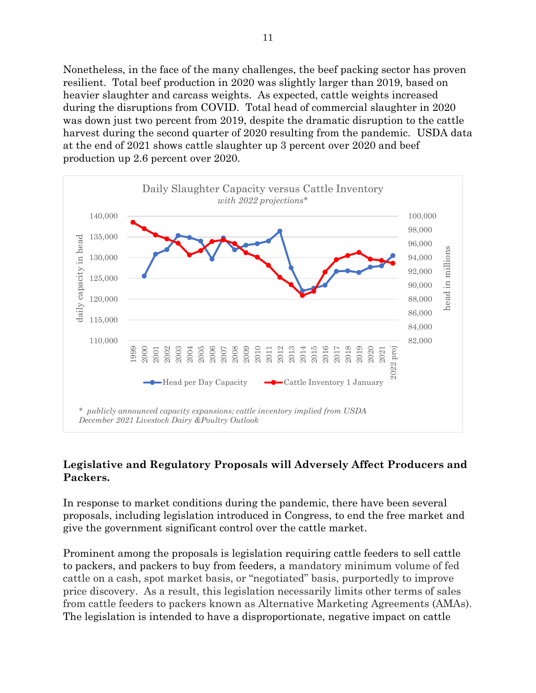Nonetheless, in the face of the many challenges, the beef packing sector has proven resilient. Total beef production in 2020 was slightly larger than 2019, based on heavier slaughter and carcass weights. As expected, cattle weights increased during the disruptions from COVID. Total head of commercial slaughter in 2020 was down just two percent from 2019, despite the dramatic disruption to the cattle harvest during the second quarter of 2020 resulting from the pandemic. USDA data at the end of 2021 shows cattle slaughter up 3 percent over 2020 and beef production up 2.6 percent over 2020.



### **Legislative and Regulatory Proposals will Adversely Affect Producers and Packers.**

In response to market conditions during the pandemic, there have been several proposals, including legislation introduced in Congress, to end the free market and give the government significant control over the cattle market.

Prominent among the proposals is legislation requiring cattle feeders to sell cattle to packers, and packers to buy from feeders, a mandatory minimum volume of fed cattle on a cash, spot market basis, or "negotiated" basis, purportedly to improve price discovery. As a result, this legislation necessarily limits other terms of sales from cattle feeders to packers known as Alternative Marketing Agreements (AMAs). The legislation is intended to have a disproportionate, negative impact on cattle